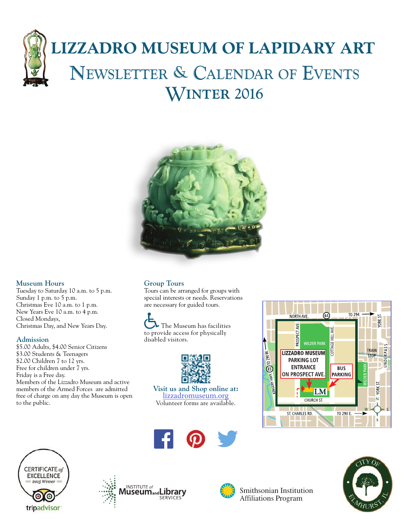# **LIZZADRO MUSEUM OF LAPIDARY ART** Newsletter & Calendar of Events Winter 2016



# **Museum Hours**

Tuesday to Saturday 10 a.m. to 5 p.m. Sunday 1 p.m. to 5 p.m. Christmas Eve 10 a.m. to 1 p.m. New Years Eve 10 a.m. to 4 p.m. Closed Mondays, Christmas Day, and New Years Day.

#### **Admission**

\$5.00 Adults, \$4.00 Senior Citizens \$3.00 Students & Teenagers \$2.00 Children 7 to 12 yrs. Free for children under 7 yrs. Friday is a Free day. Members of the Lizzadro Museum and active members of the Armed Forces are admitted free of charge on any day the Museum is open to the public.

# **Group Tours**

Tours can be arranged for groups with special interests or needs. Reservations are necessary for guided tours.

 The Museum has facilities to provide access for physically disabled visitors.



**Visit us and Shop online at:**  [lizzadromuseum.org](http://www.lizzadromuseum.org) Volunteer forms are available.









Smithsonian Institution Affiliations Program

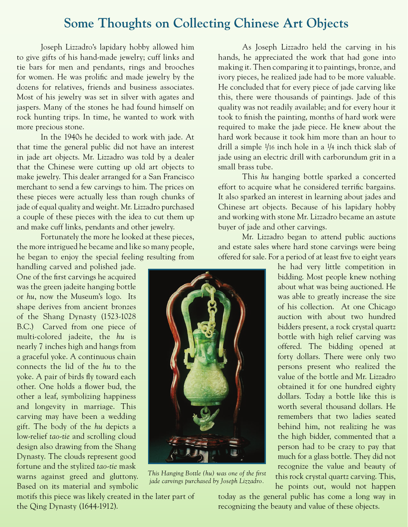# **Some Thoughts on Collecting Chinese Art Objects**

Joseph Lizzadro's lapidary hobby allowed him to give gifts of his hand-made jewelry; cuff links and tie bars for men and pendants, rings and brooches for women. He was prolific and made jewelry by the dozens for relatives, friends and business associates. Most of his jewelry was set in silver with agates and jaspers. Many of the stones he had found himself on rock hunting trips. In time, he wanted to work with more precious stone.

In the 1940s he decided to work with jade. At that time the general public did not have an interest in jade art objects. Mr. Lizzadro was told by a dealer that the Chinese were cutting up old art objects to make jewelry. This dealer arranged for a San Francisco merchant to send a few carvings to him. The prices on these pieces were actually less than rough chunks of jade of equal quality and weight. Mr. Lizzadro purchased a couple of these pieces with the idea to cut them up and make cuff links, pendants and other jewelry.

Fortunately the more he looked at these pieces, the more intrigued he became and like so many people, he began to enjoy the special feeling resulting from

handling carved and polished jade. One of the first carvings he acquired was the green jadeite hanging bottle or *hu*, now the Museum's logo. Its shape derives from ancient bronzes of the Shang Dynasty (1523-1028 B.C.) Carved from one piece of multi-colored jadeite, the *hu* is nearly 7 inches high and hangs from a graceful yoke. A continuous chain connects the lid of the *hu* to the yoke. A pair of birds fly toward each other. One holds a flower bud, the other a leaf, symbolizing happiness and longevity in marriage. This carving may have been a wedding gift. The body of the *hu* depicts a low-relief *tao-tie* and scrolling cloud design also drawing from the Shang Dynasty. The clouds represent good fortune and the stylized *tao-tie* mask warns against greed and gluttony. Based on its material and symbolic

motifs this piece was likely created in the later part of the Qing Dynasty (1644-1912).

As Joseph Lizzadro held the carving in his hands, he appreciated the work that had gone into making it. Then comparing it to paintings, bronze, and ivory pieces, he realized jade had to be more valuable. He concluded that for every piece of jade carving like this, there were thousands of paintings. Jade of this quality was not readily available; and for every hour it took to finish the painting, months of hard work were required to make the jade piece. He knew about the hard work because it took him more than an hour to drill a simple 1/16 inch hole in a 1/4 inch thick slab of jade using an electric drill with carborundum grit in a small brass tube.

This *hu* hanging bottle sparked a concerted effort to acquire what he considered terrific bargains. It also sparked an interest in learning about jades and Chinese art objects. Because of his lapidary hobby and working with stone Mr. Lizzadro became an astute buyer of jade and other carvings.

Mr. Lizzadro began to attend public auctions and estate sales where hard stone carvings were being offered for sale. For a period of at least five to eight years

> he had very little competition in bidding. Most people knew nothing about what was being auctioned. He was able to greatly increase the size of his collection. At one Chicago auction with about two hundred bidders present, a rock crystal quartz bottle with high relief carving was offered. The bidding opened at forty dollars. There were only two persons present who realized the value of the bottle and Mr. Lizzadro obtained it for one hundred eighty dollars. Today a bottle like this is worth several thousand dollars. He remembers that two ladies seated behind him, not realizing he was the high bidder, commented that a person had to be crazy to pay that much for a glass bottle. They did not recognize the value and beauty of this rock crystal quartz carving. This, he points out, would not happen

today as the general public has come a long way in recognizing the beauty and value of these objects.



*This Hanging Bottle (hu) was one of the first jade carvings purchased by Joseph Lizzadro.*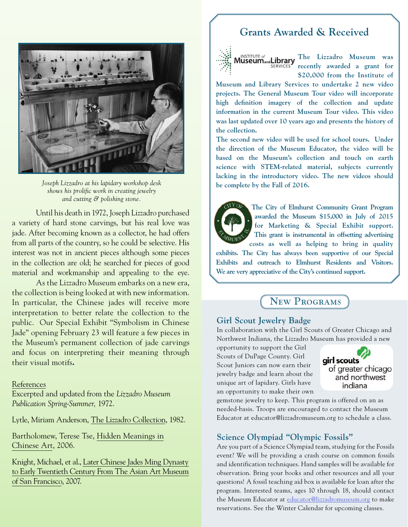

*Joseph Lizzadro at his lapidary workshop desk shows his prolific work in creating jewelry and cutting & polishing stone.*

Until his death in 1972, Joseph Lizzadro purchased a variety of hard stone carvings, but his real love was jade. After becoming known as a collector, he had offers from all parts of the country, so he could be selective. His interest was not in ancient pieces although some pieces in the collection are old; he searched for pieces of good material and workmanship and appealing to the eye.

As the Lizzadro Museum embarks on a new era, the collection is being looked at with new information. In particular, the Chinese jades will receive more interpretation to better relate the collection to the public. Our Special Exhibit "Symbolism in Chinese Jade" opening February 23 will feature a few pieces in the Museum's permanent collection of jade carvings and focus on interpreting their meaning through their visual motifs**.**

## References

Excerpted and updated from the *Lizzadro Museum Publication Spring-Summer,* 1972.

Lytle, Miriam Anderson, The Lizzadro Collection, 1982.

Bartholomew, Terese Tse, Hidden Meanings in Chinese Art, 2006.

Knight, Michael, et al., Later Chinese Jades Ming Dynasty to Early Twentieth Century From The Asian Art Museum of San Francisco, 2007.

# **Grants Awarded & Received**



**The Lizzadro Museum was recently awarded a grant for \$20,000 from the Institute of** 

**Museum and Library Services to undertake 2 new video projects. The General Museum Tour video will incorporate high definition imagery of the collection and update information in the current Museum Tour video. This video was last updated over 10 years ago and presents the history of the collection.** 

**The second new video will be used for school tours. Under the direction of the Museum Educator, the video will be based on the Museum's collection and touch on earth science with STEM-related material, subjects currently lacking in the introductory video. The new videos should be complete by the Fall of 2016.**



**The City of Elmhurst Community Grant Program awarded the Museum \$15,000 in July of 2015 for Marketing & Special Exhibit support. This grant is instrumental in offsetting advertising** 

**costs as well as helping to bring in quality exhibits. The City has always been supportive of our Special Exhibits and outreach to Elmhurst Residents and Visitors. We are very appreciative of the City's continued support.**

# New Programs

## **Girl Scout Jewelry Badge**

In collaboration with the Girl Scouts of Greater Chicago and Northwest Indiana, the Lizzadro Museum has provided a new

opportunity to support the Girl Scouts of DuPage County. Girl Scout Juniors can now earn their jewelry badge and learn about the unique art of lapidary. Girls have an opportunity to make their own



gemstone jewelry to keep. This program is offered on an as needed-basis. Troops are encouraged to contact the Museum Educator at educator@lizzadromuseum.org to schedule a class.

## **Science Olympiad "Olympic Fossils"**

Are you part of a Science Olympiad team, studying for the Fossils event? We will be providing a crash course on common fossils and identification techniques. Hand samples will be available for observation. Bring your books and other resources and all your questions! A fossil teaching aid box is available for loan after the program. Interested teams, ages 10 through 18, should contact the Museum Educator at educator@lizzadromuseum.org to make reservations. See the Winter Calendar for upcoming classes.